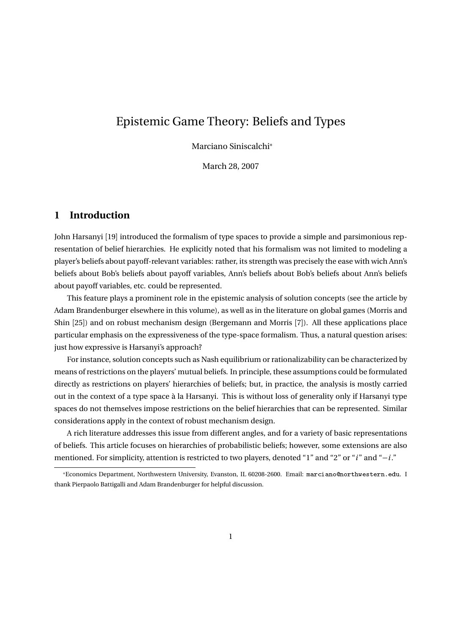# Epistemic Game Theory: Beliefs and Types

Marciano Siniscalchi<sup>∗</sup>

March 28, 2007

#### **1 Introduction**

John Harsanyi [19] introduced the formalism of type spaces to provide a simple and parsimonious representation of belief hierarchies. He explicitly noted that his formalism was not limited to modeling a player's beliefs about payoff-relevant variables: rather, its strength was precisely the ease with wich Ann's beliefs about Bob's beliefs about payoff variables, Ann's beliefs about Bob's beliefs about Ann's beliefs about payoff variables, etc. could be represented.

This feature plays a prominent role in the epistemic analysis of solution concepts (see the article by Adam Brandenburger elsewhere in this volume), as well as in the literature on global games (Morris and Shin [25]) and on robust mechanism design (Bergemann and Morris [7]). All these applications place particular emphasis on the expressiveness of the type-space formalism. Thus, a natural question arises: just how expressive is Harsanyi's approach?

For instance, solution concepts such as Nash equilibrium or rationalizability can be characterized by means of restrictions on the players' mutual beliefs. In principle, these assumptions could be formulated directly as restrictions on players' hierarchies of beliefs; but, in practice, the analysis is mostly carried out in the context of a type space à la Harsanyi. This is without loss of generality only if Harsanyi type spaces do not themselves impose restrictions on the belief hierarchies that can be represented. Similar considerations apply in the context of robust mechanism design.

A rich literature addresses this issue from different angles, and for a variety of basic representations of beliefs. This article focuses on hierarchies of probabilistic beliefs; however, some extensions are also mentioned. For simplicity, attention is restricted to two players, denoted "1" and "2" or "*i* " and "−*i*."

<sup>∗</sup>Economics Department, Northwestern University, Evanston, IL 60208-2600. Email: marciano@northwestern.edu. I thank Pierpaolo Battigalli and Adam Brandenburger for helpful discussion.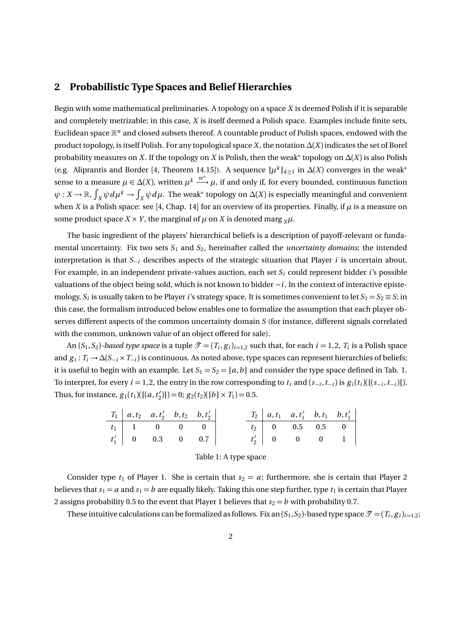#### **2 Probabilistic Type Spaces and Belief Hierarchies**

Begin with some mathematical preliminaries. A topology on a space *X* is deemed Polish if it is separable and completely metrizable; in this case, *X* is itself deemed a Polish space. Examples include finite sets, Euclidean space R*<sup>n</sup>* and closed subsets thereof. A countable product of Polish spaces, endowed with the product topology, is itself Polish. For any topological space *X*, the notation ∆(*X*) indicates the set of Borel probability measures on *X*. If the topology on *X* is Polish, then the weak $*$  topology on  $\Delta(X)$  is also Polish (e.g. Aliprantis and Border [4, Theorem 14.15]). A sequence  $\{\mu^k\}_{k\geq 1}$  in  $\Delta(X)$  converges in the weak<sup>\*</sup> sense to a measure  $\mu \in \Delta(X)$ , written  $\mu^k \stackrel{w^*}{\longrightarrow} \mu$ , if and only if, for every bounded, continuous function  $\psi: X\to \mathbb R$ ,  $\int_X\psi d\mu^k\to \int_X\psi d\mu$ . The weak\* topology on  $\Delta(X)$  is especially meaningful and convenient when *X* is a Polish space: see [4, Chap. 14] for an overview of its properties. Finally, if  $\mu$  is a measure on some product space  $X \times Y$ , the marginal of  $\mu$  on  $X$  is denoted marg  $_X \mu$ .

The basic ingredient of the players' hierarchical beliefs is a description of payoff-relevant or fundamental uncertainty. Fix two sets  $S_1$  and  $S_2$ , hereinafter called the *uncertainty domains*; the intended interpretation is that *S*−*<sup>i</sup>* describes aspects of the strategic situation that Player *i* is uncertain about. For example, in an independent private-values auction, each set *S<sup>i</sup>* could represent bidder *i*'s possible valuations of the object being sold, which is not known to bidder −*i*. In the context of interactive epistemology,  $S_i$  is usually taken to be Player *i*'s strategy space. It is sometimes convenient to let  $S_1 = S_2 \equiv S$ ; in this case, the formalism introduced below enables one to formalize the assumption that each player observes different aspects of the common uncertainty domain *S* (for instance, different signals correlated with the common, unknown value of an object offered for sale).

An  $(S_1, S_2)$ -based type space is a tuple  $\mathcal{T} = (T_i, g_i)_{i=1,2}$  such that, for each  $i = 1, 2, T_i$  is a Polish space and *g <sup>i</sup>* : *T<sup>i</sup>* → ∆(*S*−*<sup>i</sup>* ×*T*−*i*) is continuous. As noted above, type spaces can represent hierarchies of beliefs; it is useful to begin with an example. Let  $S_1 = S_2 = \{a, b\}$  and consider the type space defined in Tab. 1. To interpret, for every  $i = 1, 2$ , the entry in the row corresponding to  $t_i$  and  $(s_{-i}, t_{-i})$  is  $g_i(t_i)(\{(s_{-i}, t_{-i})\})$ . Thus, for instance,  $g_1(t_1)$  ({(*a*, *t*<sup>2</sup>  $\mathcal{L}_2'$ }} $) = 0; g_2(t_2)(\{b\} \times T_1) = 0.5.$ 

|  | $T_1   a, t_2   a, t'_2   b, t_2   b, t'_2  $ |  |  | $T_2   a,t_1 \quad a,t'_1 \quad b,t_1 \quad b,t'_1  $ |  |
|--|-----------------------------------------------|--|--|-------------------------------------------------------|--|
|  | $t_1$   1 0 0 0                               |  |  | $t_2$ 0 0.5 0.5 0                                     |  |
|  | $t'_1$ 0 0.3 0 0.7                            |  |  | $t'_2$ 0 0 0 1                                        |  |

Table 1: A type space

Consider type  $t_1$  of Player 1. She is certain that  $s_2 = a$ ; furthermore, she is certain that Player 2 believes that  $s_1 = a$  and  $s_1 = b$  are equally likely. Taking this one step further, type  $t_1$  is certain that Player 2 assigns probability 0.5 to the event that Player 1 believes that  $s_2 = b$  with probability 0.7.

These intuitive calculations can be formalized as follows. Fix an  $(S_1, S_2)$ -based type space  $\mathcal{T} = (T_i, g_i)_{i=1,2}$ ;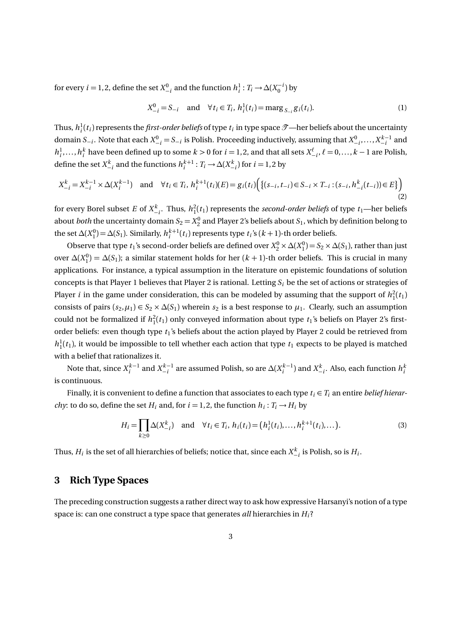for every *i* = 1, 2, define the set  $X_{-i}^0$  and the function  $h_i^1: T_i \to \Delta(X_0^{-i})$  by

$$
X_{-i}^{0} = S_{-i} \text{ and } \forall t_i \in T_i, h_i^{1}(t_i) = \max g_{S_{-i}} g_i(t_i). \tag{1}
$$

Thus,  $h_i^1(t_i)$  represents the *first-order beliefs* of type  $t_i$  in type space  $\mathscr{T}$ —her beliefs about the uncertainty domain  $S_{-i}$ . Note that each  $X_{-i}^0 = S_{-i}$  is Polish. Proceeding inductively, assuming that  $X_{-i}^0, \ldots, X_{-i}^{k-1}$  and  $h_i^1, \ldots, h_i^k$  have been defined up to some  $k > 0$  for  $i = 1, 2$ , and that all sets  $X_{-i}^{\ell}, \ell = 0, \ldots, k - 1$  are Polish, define the set  $X_{-i}^k$  and the functions  $h_i^{k+1}: T_i \to \Delta(X_{-i}^k)$  for  $i = 1, 2$  by

$$
X_{-i}^k = X_{-i}^{k-1} \times \Delta(X_i^{k-1}) \quad \text{and} \quad \forall t_i \in T_i, \ h_i^{k+1}(t_i)(E) = g_i(t_i) \Big( \{ (s_{-i}, t_{-i}) \in S_{-i} \times T_{-i} : (s_{-i}, h_{-i}^k(t_{-i})) \in E \} \Big) \tag{2}
$$

for every Borel subset *E* of  $X_{-i}^k$ . Thus,  $h_1^2(t_1)$  represents the *second-order beliefs* of type  $t_1$ —her beliefs about *both* the uncertainty domain  $S_2 = X_2^0$  and Player 2's beliefs about  $S_1$ , which by definition belong to the set  $\Delta(X_1^0) = \Delta(S_1)$ . Similarly,  $h_i^{k+1}(t_i)$  represents type  $t_i$ 's  $(k+1)$ -th order beliefs.

Observe that type  $t_1$ 's second-order beliefs are defined over  $X_2^0 \times \Delta(X_1^0) = S_2 \times \Delta(S_1)$ , rather than just over  $\Delta(X_1^0) = \Delta(S_1)$ ; a similar statement holds for her  $(k + 1)$ -th order beliefs. This is crucial in many applications. For instance, a typical assumption in the literature on epistemic foundations of solution concepts is that Player 1 believes that Player 2 is rational. Letting *S<sup>i</sup>* be the set of actions or strategies of Player *i* in the game under consideration, this can be modeled by assuming that the support of  $h_1^2(t_1)$ consists of pairs  $(s_2, \mu_1) \in S_2 \times \Delta(S_1)$  wherein  $s_2$  is a best response to  $\mu_1$ . Clearly, such an assumption could not be formalized if  $h_1^2(t_1)$  only conveyed information about type  $t_1$ 's beliefs on Player 2's firstorder beliefs: even though type *t*1's beliefs about the action played by Player 2 could be retrieved from  $h_1^1(t_1)$ , it would be impossible to tell whether each action that type  $t_1$  expects to be played is matched with a belief that rationalizes it.

Note that, since  $X_i^{k-1}$  and  $X_{-i}^{k-1}$  are assumed Polish, so are  $\Delta(X_i^{k-1})$  and  $X_{-i}^k$ . Also, each function  $h_i^k$ is continuous.

Finally, it is convenient to define a function that associates to each type  $t_i \in T_i$  an entire *belief hierarchy*: to do so, define the set  $H_i$  and, for  $i = 1, 2$ , the function  $h_i : T_i \rightarrow H_i$  by

$$
H_i = \prod_{k \ge 0} \Delta(X_{-i}^k) \text{ and } \forall t_i \in T_i, h_i(t_i) = (h_i^1(t_i), \dots, h_i^{k+1}(t_i), \dots).
$$
 (3)

Thus,  $H_i$  is the set of all hierarchies of beliefs; notice that, since each  $X_{-i}^k$  is Polish, so is  $H_i$ .

### **3 Rich Type Spaces**

The preceding construction suggests a rather direct way to ask how expressive Harsanyi's notion of a type space is: can one construct a type space that generates *all* hierarchies in *Hi*?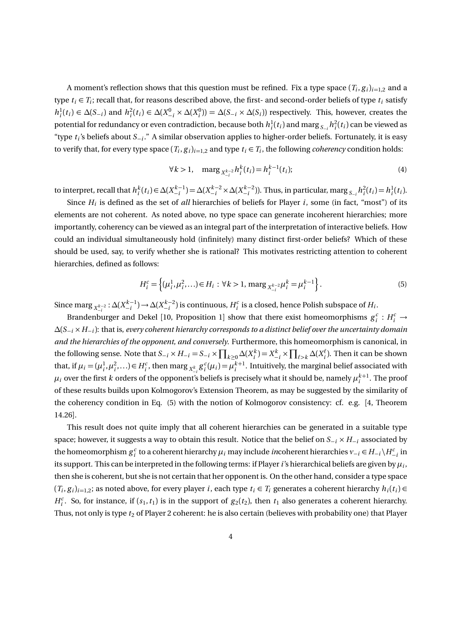A moment's reflection shows that this question must be refined. Fix a type space  $(T_i,g_i)_{i=1,2}$  and a type  $t_i \in T_i$ ; recall that, for reasons described above, the first- and second-order beliefs of type  $t_i$  satisfy  $h_i^1(t_i) \in \Delta(S_{-i})$  and  $h_i^2(t_i) \in \Delta(X_{-i}^0 \times \Delta(X_i^0)) = \Delta(S_{-i} \times \Delta(S_i))$  respectively. This, however, creates the potential for redundancy or even contradiction, because both  $h_i^1(t_i)$  and marg  $_{S_{-i}}h_i^2(t_i)$  can be viewed as "type *t<sup>i</sup>* 's beliefs about *S*−*<sup>i</sup>* ." A similar observation applies to higher-order beliefs. Fortunately, it is easy to verify that, for every type space  $(T_i, g_i)_{i=1,2}$  and type  $t_i \in T_i$ , the following *coherency* condition holds:

$$
\forall k > 1, \quad \text{marg}\,_{X_{-i}^{k-2}} h_i^k(t_i) = h_i^{k-1}(t_i); \tag{4}
$$

to interpret, recall that  $h_i^k(t_i) \in \Delta(X_{-i}^{k-1}) = \Delta(X_{-i}^{k-2} \times \Delta(X_{-i}^{k-2}))$ . Thus, in particular, marg  $s_{-i} h_i^2(t_i) = h_i^1(t_i)$ .

Since  $H_i$  is defined as the set of *all* hierarchies of beliefs for Player  $i$ , some (in fact, "most") of its elements are not coherent. As noted above, no type space can generate incoherent hierarchies; more importantly, coherency can be viewed as an integral part of the interpretation of interactive beliefs. How could an individual simultaneously hold (infinitely) many distinct first-order beliefs? Which of these should be used, say, to verify whether she is rational? This motivates restricting attention to coherent hierarchies, defined as follows:

$$
H_i^c = \left\{ (\mu_i^1, \mu_i^2, \ldots) \in H_i : \forall k > 1, \, \text{marg}_{X_{-i}^{k-2}} \mu_i^k = \mu_i^{k-1} \right\}.
$$
 (5)

Since  $\max_{X_{-i}^{k-2}} : \Delta(X_{-i}^{k-1}) \to \Delta(X_{-i}^{k-2})$  is continuous,  $H_i^c$  is a closed, hence Polish subspace of  $H_i$ .

Brandenburger and Dekel [10, Proposition 1] show that there exist homeomorphisms  $g_i^c : H_i^c \rightarrow$ ∆(*S*−*<sup>i</sup>* ×*H*−*i*): that is, *every coherent hierarchy corresponds to a distinct belief over the uncertainty domain and the hierarchies of the opponent, and conversely*. Furthermore, this homeomorphism is canonical, in the following sense. Note that  $S_{-i} \times H_{-i} = S_{-i} \times \prod_{k \ge 0} \Delta(X_i^k) = X_{-i}^k \times \prod_{\ell > k} \Delta(X_i^{\ell})$ . Then it can be shown that, if  $\mu_i = (\mu_i^1, \mu_i^2, \ldots) \in H_i^c$ , then marg  $_{X_{-i}^k} g_i^c(\mu_i) = \mu_i^{k+1}$ . Intuitively, the marginal belief associated with  $\mu_i$  over the first  $k$  orders of the opponent's beliefs is precisely what it should be, namely  $\mu_i^{k+1}.$  The proof of these results builds upon Kolmogorov's Extension Theorem, as may be suggested by the similarity of the coherency condition in Eq. (5) with the notion of Kolmogorov consistency: cf. e.g. [4, Theorem 14.26].

This result does not quite imply that all coherent hierarchies can be generated in a suitable type space; however, it suggests a way to obtain this result. Notice that the belief on *S*−*<sup>i</sup>* × *H*−*<sup>i</sup>* associated by the homeomorphism  $g_i^c$  to a coherent hierarchy  $\mu_i$  may include *in*coherent hierarchies  $v_{-i} \in H_{-i} \setminus H_{-i}^c$  in its support. This can be interpreted in the following terms: if Player*i*'s hierarchical beliefs are given by *µ<sup>i</sup>* , then she is coherent, but she is not certain that her opponent is. On the other hand, consider a type space  $(T_i, g_i)_{i=1,2}$ ; as noted above, for every player *i*, each type  $t_i \in T_i$  generates a coherent hierarchy  $h_i(t_i) \in T_i$  $H_i^c$ . So, for instance, if  $(s_1, t_1)$  is in the support of  $g_2(t_2)$ , then  $t_1$  also generates a coherent hierarchy. Thus, not only is type  $t_2$  of Player 2 coherent: he is also certain (believes with probability one) that Player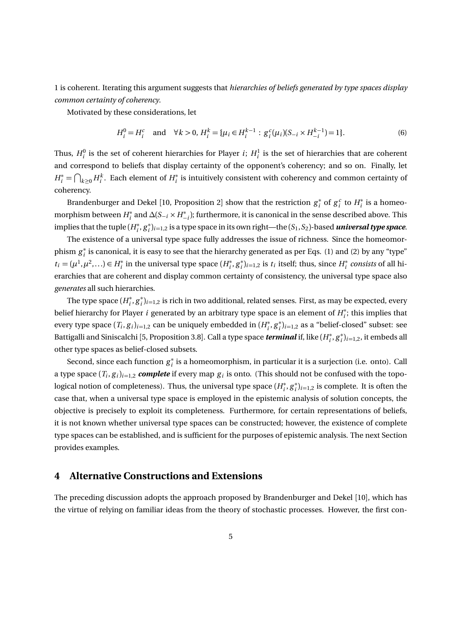1 is coherent. Iterating this argument suggests that *hierarchies of beliefs generated by type spaces display common certainty of coherency*.

Motivated by these considerations, let

$$
H_i^0 = H_i^c \text{ and } \forall k > 0, H_i^k = {\mu_i \in H_i^{k-1} : g_i^c(\mu_i)(S_{-i} \times H_{-i}^{k-1}) = 1}.
$$
 (6)

Thus,  $H_i^0$  is the set of coherent hierarchies for Player *i*;  $H_i^1$  is the set of hierarchies that are coherent and correspond to beliefs that display certainty of the opponent's coherency; and so on. Finally, let  $H_i^* = \bigcap_{k \geq 0} H_i^k$ . Each element of  $H_i^*$  $\stackrel{*}{_i}$  is intuitively consistent with coherency and common certainty of coherency.

Brandenburger and Dekel [10, Proposition 2] show that the restriction  $g_i^*$ <sup>\*</sup><sub>*i*</sub> of  $g_i^c$  to  $H_i^*$  $i<sub>i</sub>$  is a homeomorphism between *H* ∗  $\sum_{i=1}^{n}$  and  $\Delta(S_{-i} \times H_{-i}^*)$ ; furthermore, it is canonical in the sense described above. This implies that the tuple  $(H_i^*)$ *i* , *g* ∗ *i* )*i*=1,2 is a type space in its own right—the (*S*1,*S*2)-based *universal type space*.

The existence of a universal type space fully addresses the issue of richness. Since the homeomorphism *g* ∗  $_i^\ast$  is canonical, it is easy to see that the hierarchy generated as per Eqs. (1) and (2) by any "type"  $t_i = (\mu^1, \mu^2, \ldots) \in H_i^*$  $i_i^*$  in the universal type space ( $H_i^*$ *i* , *g* ∗  $\binom{k}{i}$ <sub>*i*=1,2</sub> is *t<sub>i</sub>* itself; thus, since  $H_i^*$ *i consists* of all hierarchies that are coherent and display common certainty of consistency, the universal type space also *generates* all such hierarchies.

The type space  $(H_i^*)$ *i* , *g* ∗  $\hspace{0.1cm}^*_i)_{i=1,2}$  is rich in two additional, related senses. First, as may be expected, every belief hierarchy for Player *i* generated by an arbitrary type space is an element of *H* ∗  $i$ <sup>\*</sup>; this implies that every type space  $(T_i, g_i)_{i=1,2}$  can be uniquely embedded in  $(H_i^*)$ *i* , *g* ∗  $\binom{*}{i}$ <sub>*i*=1,2</sub> as a "belief-closed" subset: see Battigalli and Siniscalchi [5, Proposition 3.8]. Call a type space *terminal* if, like (*H* ∗ *i* , *g* ∗  $j^*_{i=1,2}$ , it embeds all other type spaces as belief-closed subsets.

Second, since each function  $g_i^*$  $_i^\ast$  is a homeomorphism, in particular it is a surjection (i.e. onto). Call a type space  $(T_i, g_i)_{i=1,2}$  *complete* if every map  $g_i$  is onto. (This should not be confused with the topological notion of completeness). Thus, the universal type space  $(H_i^{\dagger})$ *i* , *g* ∗  $j^*_{i}|_{i=1,2}$  is complete. It is often the case that, when a universal type space is employed in the epistemic analysis of solution concepts, the objective is precisely to exploit its completeness. Furthermore, for certain representations of beliefs, it is not known whether universal type spaces can be constructed; however, the existence of complete type spaces can be established, and is sufficient for the purposes of epistemic analysis. The next Section provides examples.

## **4 Alternative Constructions and Extensions**

The preceding discussion adopts the approach proposed by Brandenburger and Dekel [10], which has the virtue of relying on familiar ideas from the theory of stochastic processes. However, the first con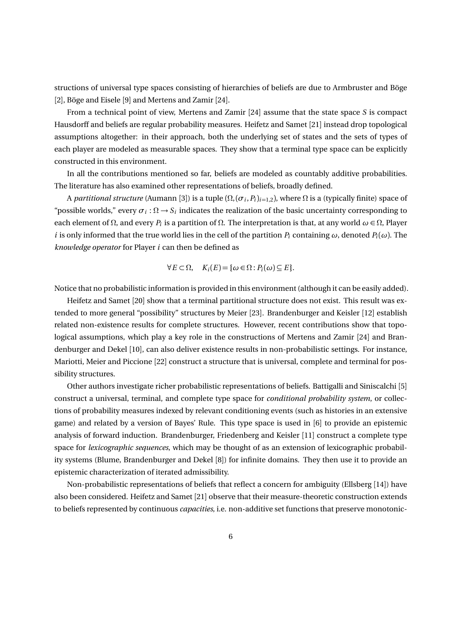structions of universal type spaces consisting of hierarchies of beliefs are due to Armbruster and Böge [2], Böge and Eisele [9] and Mertens and Zamir [24].

From a technical point of view, Mertens and Zamir [24] assume that the state space *S* is compact Hausdorff and beliefs are regular probability measures. Heifetz and Samet [21] instead drop topological assumptions altogether: in their approach, both the underlying set of states and the sets of types of each player are modeled as measurable spaces. They show that a terminal type space can be explicitly constructed in this environment.

In all the contributions mentioned so far, beliefs are modeled as countably additive probabilities. The literature has also examined other representations of beliefs, broadly defined.

A *partitional structure* (Aumann [3]) is a tuple (Ω,(*σ<sup>i</sup>* ,*Pi*)*i*=1,2), where Ω is a (typically finite) space of "possible worlds," every  $\sigma_i : \Omega \to S_i$  indicates the realization of the basic uncertainty corresponding to each element of  $\Omega$ , and every  $P_i$  is a partition of  $\Omega$ . The interpretation is that, at any world  $\omega \in \Omega$ , Player *i* is only informed that the true world lies in the cell of the partition  $P_i$  containing  $\omega$ , denoted  $P_i(\omega)$ . The *knowledge operator* for Player *i* can then be defined as

$$
\forall E \subset \Omega, \quad K_i(E) = \{\omega \in \Omega : P_i(\omega) \subseteq E\}.
$$

Notice that no probabilistic information is provided in this environment (although it can be easily added).

Heifetz and Samet [20] show that a terminal partitional structure does not exist. This result was extended to more general "possibility" structures by Meier [23]. Brandenburger and Keisler [12] establish related non-existence results for complete structures. However, recent contributions show that topological assumptions, which play a key role in the constructions of Mertens and Zamir [24] and Brandenburger and Dekel [10], can also deliver existence results in non-probabilistic settings. For instance, Mariotti, Meier and Piccione [22] construct a structure that is universal, complete and terminal for possibility structures.

Other authors investigate richer probabilistic representations of beliefs. Battigalli and Siniscalchi [5] construct a universal, terminal, and complete type space for *conditional probability system*, or collections of probability measures indexed by relevant conditioning events (such as histories in an extensive game) and related by a version of Bayes' Rule. This type space is used in [6] to provide an epistemic analysis of forward induction. Brandenburger, Friedenberg and Keisler [11] construct a complete type space for *lexicographic sequences*, which may be thought of as an extension of lexicographic probability systems (Blume, Brandenburger and Dekel [8]) for infinite domains. They then use it to provide an epistemic characterization of iterated admissibility.

Non-probabilistic representations of beliefs that reflect a concern for ambiguity (Ellsberg [14]) have also been considered. Heifetz and Samet [21] observe that their measure-theoretic construction extends to beliefs represented by continuous *capacities*, i.e. non-additive set functions that preserve monotonic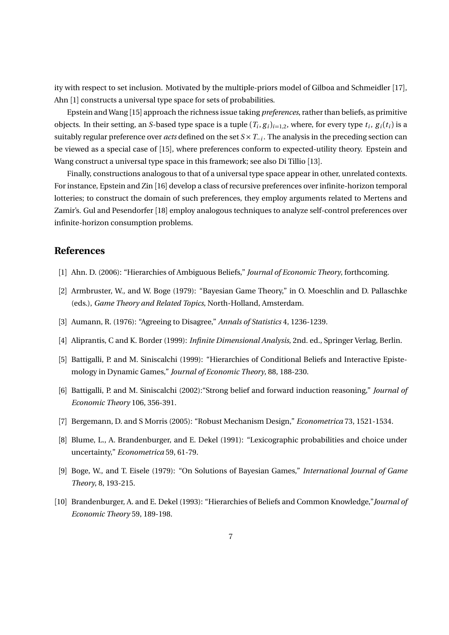ity with respect to set inclusion. Motivated by the multiple-priors model of Gilboa and Schmeidler [17], Ahn [1] constructs a universal type space for sets of probabilities.

Epstein and Wang [15] approach the richness issue taking *preferences*, rather than beliefs, as primitive objects. In their setting, an *S*-based type space is a tuple  $(T_i, g_i)_{i=1,2}$ , where, for every type  $t_i$ ,  $g_i(t_i)$  is a suitably regular preference over *acts* defined on the set *S* ×*T*−*<sup>i</sup>* . The analysis in the preceding section can be viewed as a special case of [15], where preferences conform to expected-utility theory. Epstein and Wang construct a universal type space in this framework; see also Di Tillio [13].

Finally, constructions analogous to that of a universal type space appear in other, unrelated contexts. For instance, Epstein and Zin [16] develop a class of recursive preferences over infinite-horizon temporal lotteries; to construct the domain of such preferences, they employ arguments related to Mertens and Zamir's. Gul and Pesendorfer [18] employ analogous techniques to analyze self-control preferences over infinite-horizon consumption problems.

#### **References**

- [1] Ahn. D. (2006): "Hierarchies of Ambiguous Beliefs," *Journal of Economic Theory*, forthcoming.
- [2] Armbruster, W., and W. Boge (1979): "Bayesian Game Theory," in O. Moeschlin and D. Pallaschke (eds.), *Game Theory and Related Topics*, North-Holland, Amsterdam.
- [3] Aumann, R. (1976): "Agreeing to Disagree," *Annals of Statistics* 4, 1236-1239.
- [4] Aliprantis, C and K. Border (1999): *Infinite Dimensional Analysis*, 2nd. ed., Springer Verlag, Berlin.
- [5] Battigalli, P. and M. Siniscalchi (1999): "Hierarchies of Conditional Beliefs and Interactive Epistemology in Dynamic Games," *Journal of Economic Theory*, 88, 188-230.
- [6] Battigalli, P. and M. Siniscalchi (2002):"Strong belief and forward induction reasoning," *Journal of Economic Theory* 106, 356-391.
- [7] Bergemann, D. and S Morris (2005): "Robust Mechanism Design," *Econometrica* 73, 1521-1534.
- [8] Blume, L., A. Brandenburger, and E. Dekel (1991): "Lexicographic probabilities and choice under uncertainty," *Econometrica* 59, 61-79.
- [9] Boge, W., and T. Eisele (1979): "On Solutions of Bayesian Games," *International Journal of Game Theory*, 8, 193-215.
- [10] Brandenburger, A. and E. Dekel (1993): "Hierarchies of Beliefs and Common Knowledge,"*Journal of Economic Theory* 59, 189-198.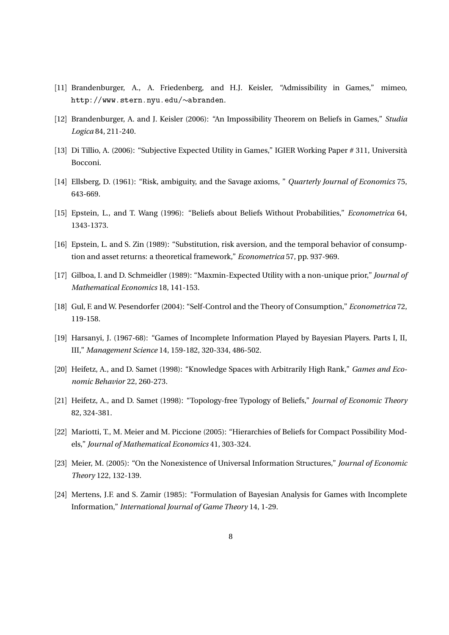- [11] Brandenburger, A., A. Friedenberg, and H.J. Keisler, "Admissibility in Games," mimeo, http://www.stern.nyu.edu/∼abranden.
- [12] Brandenburger, A. and J. Keisler (2006): "An Impossibility Theorem on Beliefs in Games," *Studia Logica* 84, 211-240.
- [13] Di Tillio, A. (2006): "Subjective Expected Utility in Games," IGIER Working Paper # 311, Università Bocconi.
- [14] Ellsberg, D. (1961): "Risk, ambiguity, and the Savage axioms, " *Quarterly Journal of Economics* 75, 643-669.
- [15] Epstein, L., and T. Wang (1996): "Beliefs about Beliefs Without Probabilities," *Econometrica* 64, 1343-1373.
- [16] Epstein, L. and S. Zin (1989): "Substitution, risk aversion, and the temporal behavior of consumption and asset returns: a theoretical framework," *Econometrica* 57, pp. 937-969.
- [17] Gilboa, I. and D. Schmeidler (1989): "Maxmin-Expected Utility with a non-unique prior," *Journal of Mathematical Economics* 18, 141-153.
- [18] Gul, F. and W. Pesendorfer (2004): "Self-Control and the Theory of Consumption," *Econometrica* 72, 119-158.
- [19] Harsanyi, J. (1967-68): "Games of Incomplete Information Played by Bayesian Players. Parts I, II, III," *Management Science* 14, 159-182, 320-334, 486-502.
- [20] Heifetz, A., and D. Samet (1998): "Knowledge Spaces with Arbitrarily High Rank," *Games and Economic Behavior* 22, 260-273.
- [21] Heifetz, A., and D. Samet (1998): "Topology-free Typology of Beliefs," *Journal of Economic Theory* 82, 324-381.
- [22] Mariotti, T., M. Meier and M. Piccione (2005): "Hierarchies of Beliefs for Compact Possibility Models," *Journal of Mathematical Economics* 41, 303-324.
- [23] Meier, M. (2005): "On the Nonexistence of Universal Information Structures," *Journal of Economic Theory* 122, 132-139.
- [24] Mertens, J.F. and S. Zamir (1985): "Formulation of Bayesian Analysis for Games with Incomplete Information," *International Journal of Game Theory* 14, 1-29.